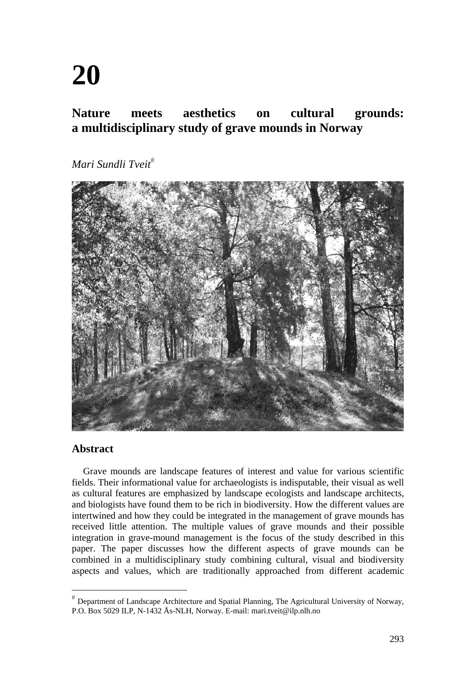# **20**

## **Nature meets aesthetics on cultural grounds: a multidisciplinary study of grave mounds in Norway**

*Mari Sundli Tveit*



## **Abstract**

Grave mounds are landscape features of interest and value for various scientific fields. Their informational value for archaeologists is indisputable, their visual as well as cultural features are emphasized by landscape ecologists and landscape architects, and biologists have found them to be rich in biodiversity. How the different values are intertwined and how they could be integrated in the management of grave mounds has received little attention. The multiple values of grave mounds and their possible integration in grave-mound management is the focus of the study described in this paper. The paper discusses how the different aspects of grave mounds can be combined in a multidisciplinary study combining cultural, visual and biodiversity aspects and values, which are traditionally approached from different academic

 $*$  Department of Landscape Architecture and Spatial Planning, The Agricultural University of Norway, P.O. Box 5029 ILP, N-1432 Ås-NLH, Norway. E-mail: mari.tveit@ilp.nlh.no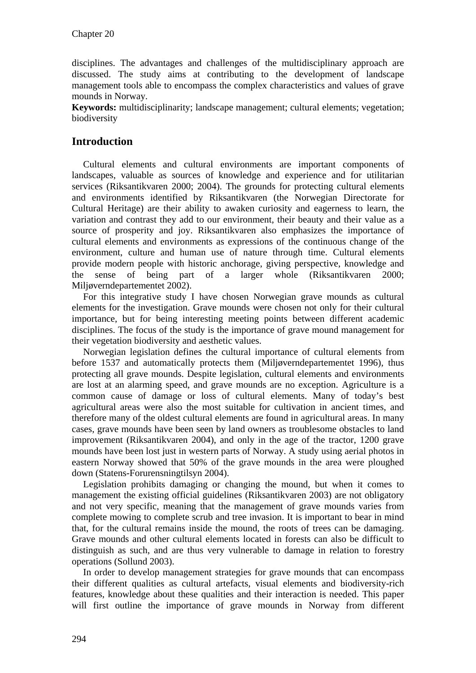disciplines. The advantages and challenges of the multidisciplinary approach are discussed. The study aims at contributing to the development of landscape management tools able to encompass the complex characteristics and values of grave mounds in Norway.

**Keywords:** multidisciplinarity; landscape management; cultural elements; vegetation; biodiversity

## **Introduction**

Cultural elements and cultural environments are important components of landscapes, valuable as sources of knowledge and experience and for utilitarian services (Riksantikvaren 2000; 2004). The grounds for protecting cultural elements and environments identified by Riksantikvaren (the Norwegian Directorate for Cultural Heritage) are their ability to awaken curiosity and eagerness to learn, the variation and contrast they add to our environment, their beauty and their value as a source of prosperity and joy. Riksantikvaren also emphasizes the importance of cultural elements and environments as expressions of the continuous change of the environment, culture and human use of nature through time. Cultural elements provide modern people with historic anchorage, giving perspective, knowledge and the sense of being part of a larger whole (Riksantikvaren 2000; Miljøverndepartementet 2002).

For this integrative study I have chosen Norwegian grave mounds as cultural elements for the investigation. Grave mounds were chosen not only for their cultural importance, but for being interesting meeting points between different academic disciplines. The focus of the study is the importance of grave mound management for their vegetation biodiversity and aesthetic values.

Norwegian legislation defines the cultural importance of cultural elements from before 1537 and automatically protects them (Miljøverndepartementet 1996), thus protecting all grave mounds. Despite legislation, cultural elements and environments are lost at an alarming speed, and grave mounds are no exception. Agriculture is a common cause of damage or loss of cultural elements. Many of today's best agricultural areas were also the most suitable for cultivation in ancient times, and therefore many of the oldest cultural elements are found in agricultural areas. In many cases, grave mounds have been seen by land owners as troublesome obstacles to land improvement (Riksantikvaren 2004), and only in the age of the tractor, 1200 grave mounds have been lost just in western parts of Norway. A study using aerial photos in eastern Norway showed that 50% of the grave mounds in the area were ploughed down (Statens-Forurensningtilsyn 2004).

Legislation prohibits damaging or changing the mound, but when it comes to management the existing official guidelines (Riksantikvaren 2003) are not obligatory and not very specific, meaning that the management of grave mounds varies from complete mowing to complete scrub and tree invasion. It is important to bear in mind that, for the cultural remains inside the mound, the roots of trees can be damaging. Grave mounds and other cultural elements located in forests can also be difficult to distinguish as such, and are thus very vulnerable to damage in relation to forestry operations (Sollund 2003).

In order to develop management strategies for grave mounds that can encompass their different qualities as cultural artefacts, visual elements and biodiversity-rich features, knowledge about these qualities and their interaction is needed. This paper will first outline the importance of grave mounds in Norway from different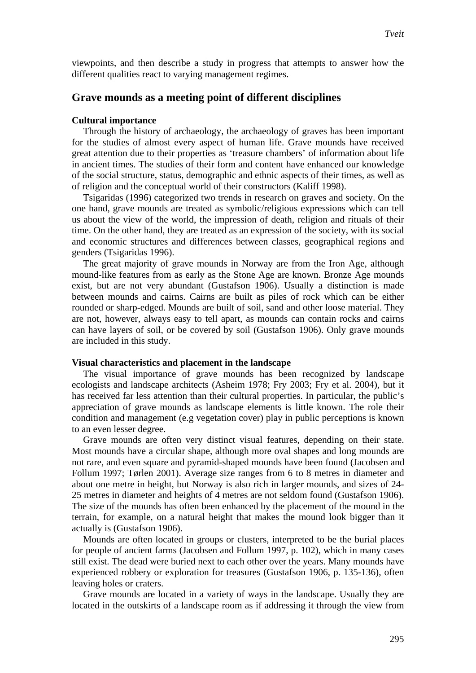viewpoints, and then describe a study in progress that attempts to answer how the different qualities react to varying management regimes.

### **Grave mounds as a meeting point of different disciplines**

#### **Cultural importance**

Through the history of archaeology, the archaeology of graves has been important for the studies of almost every aspect of human life. Grave mounds have received great attention due to their properties as 'treasure chambers' of information about life in ancient times. The studies of their form and content have enhanced our knowledge of the social structure, status, demographic and ethnic aspects of their times, as well as of religion and the conceptual world of their constructors (Kaliff 1998).

Tsigaridas (1996) categorized two trends in research on graves and society. On the one hand, grave mounds are treated as symbolic/religious expressions which can tell us about the view of the world, the impression of death, religion and rituals of their time. On the other hand, they are treated as an expression of the society, with its social and economic structures and differences between classes, geographical regions and genders (Tsigaridas 1996).

The great majority of grave mounds in Norway are from the Iron Age, although mound-like features from as early as the Stone Age are known. Bronze Age mounds exist, but are not very abundant (Gustafson 1906). Usually a distinction is made between mounds and cairns. Cairns are built as piles of rock which can be either rounded or sharp-edged. Mounds are built of soil, sand and other loose material. They are not, however, always easy to tell apart, as mounds can contain rocks and cairns can have layers of soil, or be covered by soil (Gustafson 1906). Only grave mounds are included in this study.

#### **Visual characteristics and placement in the landscape**

The visual importance of grave mounds has been recognized by landscape ecologists and landscape architects (Asheim 1978; Fry 2003; Fry et al. 2004), but it has received far less attention than their cultural properties. In particular, the public's appreciation of grave mounds as landscape elements is little known. The role their condition and management (e.g vegetation cover) play in public perceptions is known to an even lesser degree.

Grave mounds are often very distinct visual features, depending on their state. Most mounds have a circular shape, although more oval shapes and long mounds are not rare, and even square and pyramid-shaped mounds have been found (Jacobsen and Follum 1997; Tørlen 2001). Average size ranges from 6 to 8 metres in diameter and about one metre in height, but Norway is also rich in larger mounds, and sizes of 24- 25 metres in diameter and heights of 4 metres are not seldom found (Gustafson 1906). The size of the mounds has often been enhanced by the placement of the mound in the terrain, for example, on a natural height that makes the mound look bigger than it actually is (Gustafson 1906).

Mounds are often located in groups or clusters, interpreted to be the burial places for people of ancient farms (Jacobsen and Follum 1997, p. 102), which in many cases still exist. The dead were buried next to each other over the years. Many mounds have experienced robbery or exploration for treasures (Gustafson 1906, p. 135-136), often leaving holes or craters.

Grave mounds are located in a variety of ways in the landscape. Usually they are located in the outskirts of a landscape room as if addressing it through the view from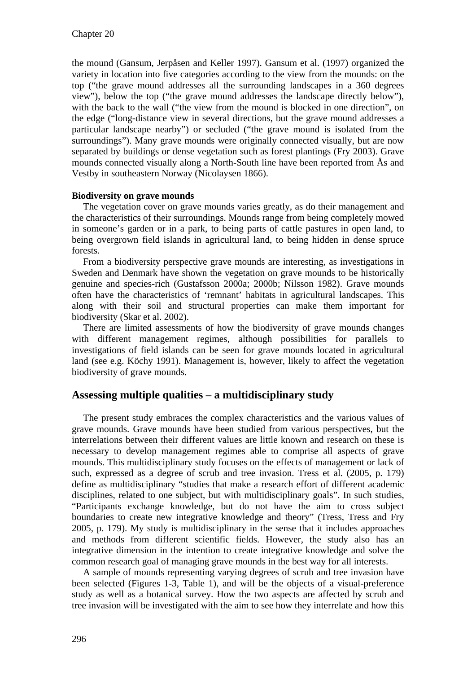the mound (Gansum, Jerpåsen and Keller 1997). Gansum et al. (1997) organized the variety in location into five categories according to the view from the mounds: on the top ("the grave mound addresses all the surrounding landscapes in a 360 degrees view"), below the top ("the grave mound addresses the landscape directly below"), with the back to the wall ("the view from the mound is blocked in one direction", on the edge ("long-distance view in several directions, but the grave mound addresses a particular landscape nearby") or secluded ("the grave mound is isolated from the surroundings"). Many grave mounds were originally connected visually, but are now separated by buildings or dense vegetation such as forest plantings (Fry 2003). Grave mounds connected visually along a North-South line have been reported from Ås and Vestby in southeastern Norway (Nicolaysen 1866).

### **Biodiversity on grave mounds**

The vegetation cover on grave mounds varies greatly, as do their management and the characteristics of their surroundings. Mounds range from being completely mowed in someone's garden or in a park, to being parts of cattle pastures in open land, to being overgrown field islands in agricultural land, to being hidden in dense spruce forests.

From a biodiversity perspective grave mounds are interesting, as investigations in Sweden and Denmark have shown the vegetation on grave mounds to be historically genuine and species-rich (Gustafsson 2000a; 2000b; Nilsson 1982). Grave mounds often have the characteristics of 'remnant' habitats in agricultural landscapes. This along with their soil and structural properties can make them important for biodiversity (Skar et al. 2002).

There are limited assessments of how the biodiversity of grave mounds changes with different management regimes, although possibilities for parallels to investigations of field islands can be seen for grave mounds located in agricultural land (see e.g. Köchy 1991). Management is, however, likely to affect the vegetation biodiversity of grave mounds.

## **Assessing multiple qualities – a multidisciplinary study**

The present study embraces the complex characteristics and the various values of grave mounds. Grave mounds have been studied from various perspectives, but the interrelations between their different values are little known and research on these is necessary to develop management regimes able to comprise all aspects of grave mounds. This multidisciplinary study focuses on the effects of management or lack of such, expressed as a degree of scrub and tree invasion. Tress et al. (2005, p. 179) define as multidisciplinary "studies that make a research effort of different academic disciplines, related to one subject, but with multidisciplinary goals". In such studies, "Participants exchange knowledge, but do not have the aim to cross subject boundaries to create new integrative knowledge and theory" (Tress, Tress and Fry 2005, p. 179). My study is multidisciplinary in the sense that it includes approaches and methods from different scientific fields. However, the study also has an integrative dimension in the intention to create integrative knowledge and solve the common research goal of managing grave mounds in the best way for all interests.

A sample of mounds representing varying degrees of scrub and tree invasion have been selected (Figures 1-3, Table 1), and will be the objects of a visual-preference study as well as a botanical survey. How the two aspects are affected by scrub and tree invasion will be investigated with the aim to see how they interrelate and how this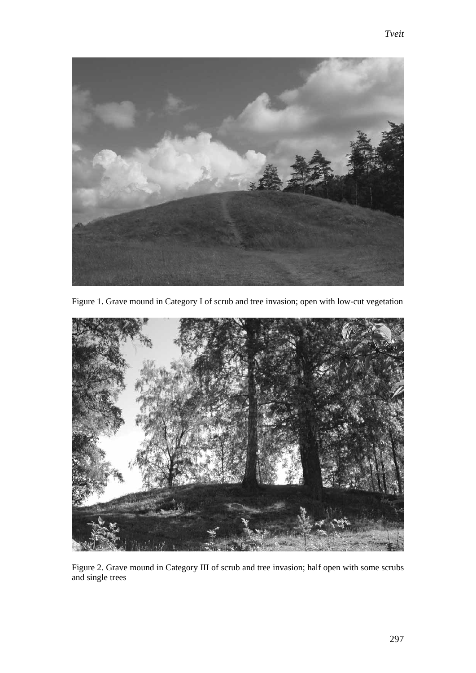

Figure 1. Grave mound in Category I of scrub and tree invasion; open with low-cut vegetation



Figure 2. Grave mound in Category III of scrub and tree invasion; half open with some scrubs and single trees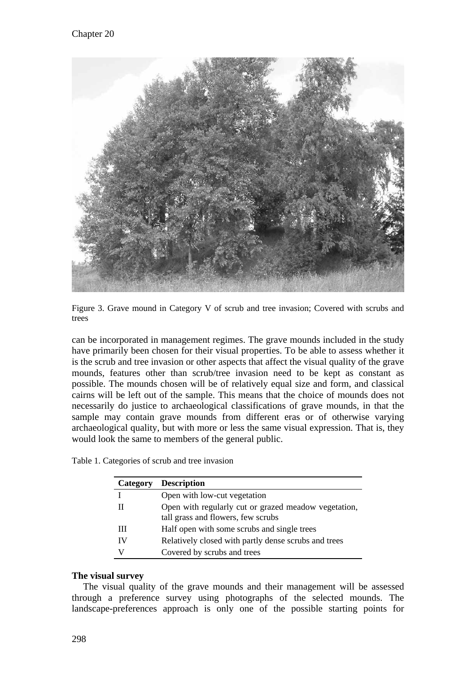

Figure 3. Grave mound in Category V of scrub and tree invasion; Covered with scrubs and trees

can be incorporated in management regimes. The grave mounds included in the study have primarily been chosen for their visual properties. To be able to assess whether it is the scrub and tree invasion or other aspects that affect the visual quality of the grave mounds, features other than scrub/tree invasion need to be kept as constant as possible. The mounds chosen will be of relatively equal size and form, and classical cairns will be left out of the sample. This means that the choice of mounds does not necessarily do justice to archaeological classifications of grave mounds, in that the sample may contain grave mounds from different eras or of otherwise varying archaeological quality, but with more or less the same visual expression. That is, they would look the same to members of the general public.

| Table 1. Categories of scrub and tree invasion |  |  |
|------------------------------------------------|--|--|

| Category | <b>Description</b>                                                                         |
|----------|--------------------------------------------------------------------------------------------|
|          | Open with low-cut vegetation                                                               |
| Н        | Open with regularly cut or grazed meadow vegetation,<br>tall grass and flowers, few scrubs |
| Ш        | Half open with some scrubs and single trees                                                |
| IV       | Relatively closed with partly dense scrubs and trees                                       |
| v        | Covered by scrubs and trees                                                                |

### **The visual survey**

The visual quality of the grave mounds and their management will be assessed through a preference survey using photographs of the selected mounds. The landscape-preferences approach is only one of the possible starting points for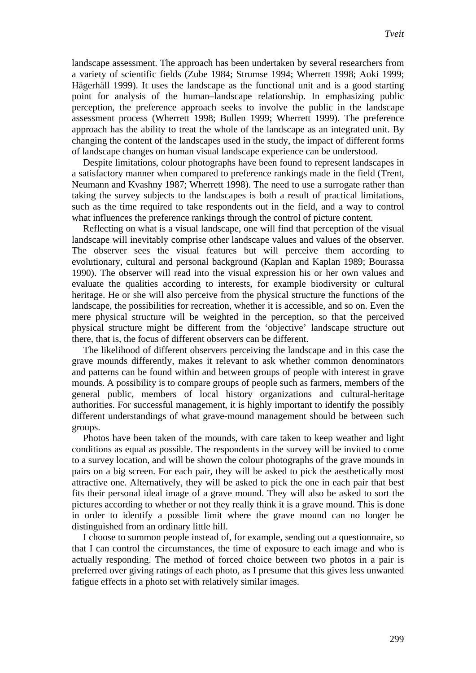landscape assessment. The approach has been undertaken by several researchers from a variety of scientific fields (Zube 1984; Strumse 1994; Wherrett 1998; Aoki 1999; Hägerhäll 1999). It uses the landscape as the functional unit and is a good starting point for analysis of the human–landscape relationship. In emphasizing public perception, the preference approach seeks to involve the public in the landscape assessment process (Wherrett 1998; Bullen 1999; Wherrett 1999). The preference approach has the ability to treat the whole of the landscape as an integrated unit. By changing the content of the landscapes used in the study, the impact of different forms of landscape changes on human visual landscape experience can be understood.

Despite limitations, colour photographs have been found to represent landscapes in a satisfactory manner when compared to preference rankings made in the field (Trent, Neumann and Kvashny 1987; Wherrett 1998). The need to use a surrogate rather than taking the survey subjects to the landscapes is both a result of practical limitations, such as the time required to take respondents out in the field, and a way to control what influences the preference rankings through the control of picture content.

Reflecting on what is a visual landscape, one will find that perception of the visual landscape will inevitably comprise other landscape values and values of the observer. The observer sees the visual features but will perceive them according to evolutionary, cultural and personal background (Kaplan and Kaplan 1989; Bourassa 1990). The observer will read into the visual expression his or her own values and evaluate the qualities according to interests, for example biodiversity or cultural heritage. He or she will also perceive from the physical structure the functions of the landscape, the possibilities for recreation, whether it is accessible, and so on. Even the mere physical structure will be weighted in the perception, so that the perceived physical structure might be different from the 'objective' landscape structure out there, that is, the focus of different observers can be different.

The likelihood of different observers perceiving the landscape and in this case the grave mounds differently, makes it relevant to ask whether common denominators and patterns can be found within and between groups of people with interest in grave mounds. A possibility is to compare groups of people such as farmers, members of the general public, members of local history organizations and cultural-heritage authorities. For successful management, it is highly important to identify the possibly different understandings of what grave-mound management should be between such groups.

Photos have been taken of the mounds, with care taken to keep weather and light conditions as equal as possible. The respondents in the survey will be invited to come to a survey location, and will be shown the colour photographs of the grave mounds in pairs on a big screen. For each pair, they will be asked to pick the aesthetically most attractive one. Alternatively, they will be asked to pick the one in each pair that best fits their personal ideal image of a grave mound. They will also be asked to sort the pictures according to whether or not they really think it is a grave mound. This is done in order to identify a possible limit where the grave mound can no longer be distinguished from an ordinary little hill.

I choose to summon people instead of, for example, sending out a questionnaire, so that I can control the circumstances, the time of exposure to each image and who is actually responding. The method of forced choice between two photos in a pair is preferred over giving ratings of each photo, as I presume that this gives less unwanted fatigue effects in a photo set with relatively similar images.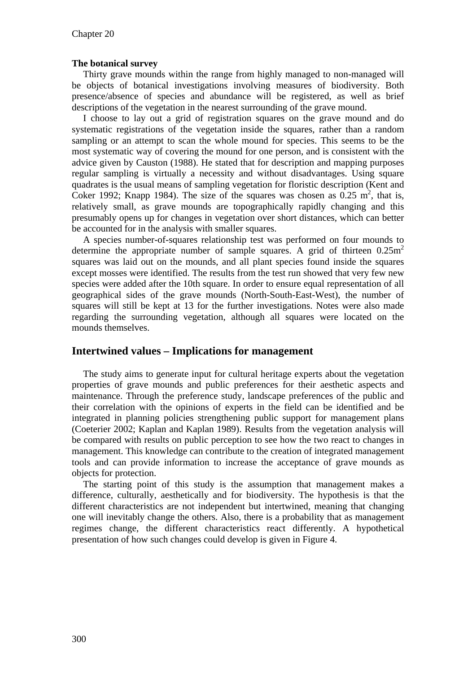#### **The botanical survey**

Thirty grave mounds within the range from highly managed to non-managed will be objects of botanical investigations involving measures of biodiversity. Both presence/absence of species and abundance will be registered, as well as brief descriptions of the vegetation in the nearest surrounding of the grave mound.

I choose to lay out a grid of registration squares on the grave mound and do systematic registrations of the vegetation inside the squares, rather than a random sampling or an attempt to scan the whole mound for species. This seems to be the most systematic way of covering the mound for one person, and is consistent with the advice given by Causton (1988). He stated that for description and mapping purposes regular sampling is virtually a necessity and without disadvantages. Using square quadrates is the usual means of sampling vegetation for floristic description (Kent and Coker 1992; Knapp 1984). The size of the squares was chosen as  $0.25 \text{ m}^2$ , that is, relatively small, as grave mounds are topographically rapidly changing and this presumably opens up for changes in vegetation over short distances, which can better be accounted for in the analysis with smaller squares.

A species number-of-squares relationship test was performed on four mounds to determine the appropriate number of sample squares. A grid of thirteen  $0.25$ m<sup>2</sup> squares was laid out on the mounds, and all plant species found inside the squares except mosses were identified. The results from the test run showed that very few new species were added after the 10th square. In order to ensure equal representation of all geographical sides of the grave mounds (North-South-East-West), the number of squares will still be kept at 13 for the further investigations. Notes were also made regarding the surrounding vegetation, although all squares were located on the mounds themselves.

## **Intertwined values – Implications for management**

The study aims to generate input for cultural heritage experts about the vegetation properties of grave mounds and public preferences for their aesthetic aspects and maintenance. Through the preference study, landscape preferences of the public and their correlation with the opinions of experts in the field can be identified and be integrated in planning policies strengthening public support for management plans (Coeterier 2002; Kaplan and Kaplan 1989). Results from the vegetation analysis will be compared with results on public perception to see how the two react to changes in management. This knowledge can contribute to the creation of integrated management tools and can provide information to increase the acceptance of grave mounds as objects for protection.

The starting point of this study is the assumption that management makes a difference, culturally, aesthetically and for biodiversity. The hypothesis is that the different characteristics are not independent but intertwined, meaning that changing one will inevitably change the others. Also, there is a probability that as management regimes change, the different characteristics react differently. A hypothetical presentation of how such changes could develop is given in Figure 4.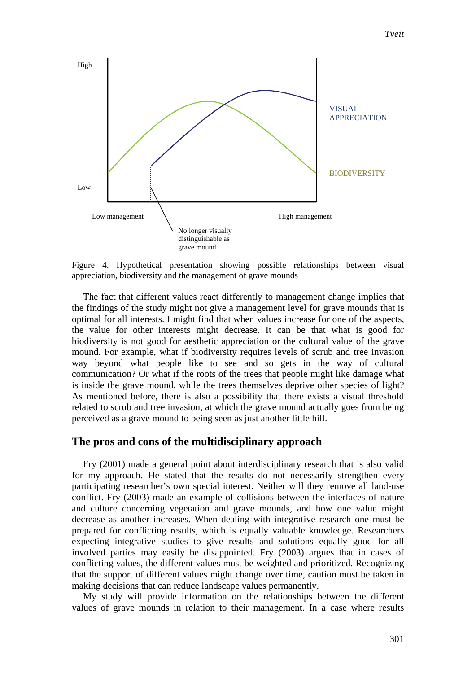*Tveit*



Figure 4. Hypothetical presentation showing possible relationships between visual appreciation, biodiversity and the management of grave mounds

The fact that different values react differently to management change implies that the findings of the study might not give a management level for grave mounds that is optimal for all interests. I might find that when values increase for one of the aspects, the value for other interests might decrease. It can be that what is good for biodiversity is not good for aesthetic appreciation or the cultural value of the grave mound. For example, what if biodiversity requires levels of scrub and tree invasion way beyond what people like to see and so gets in the way of cultural communication? Or what if the roots of the trees that people might like damage what is inside the grave mound, while the trees themselves deprive other species of light? As mentioned before, there is also a possibility that there exists a visual threshold related to scrub and tree invasion, at which the grave mound actually goes from being perceived as a grave mound to being seen as just another little hill.

#### **The pros and cons of the multidisciplinary approach**

Fry (2001) made a general point about interdisciplinary research that is also valid for my approach. He stated that the results do not necessarily strengthen every participating researcher's own special interest. Neither will they remove all land-use conflict. Fry (2003) made an example of collisions between the interfaces of nature and culture concerning vegetation and grave mounds, and how one value might decrease as another increases. When dealing with integrative research one must be prepared for conflicting results, which is equally valuable knowledge. Researchers expecting integrative studies to give results and solutions equally good for all involved parties may easily be disappointed. Fry (2003) argues that in cases of conflicting values, the different values must be weighted and prioritized. Recognizing that the support of different values might change over time, caution must be taken in making decisions that can reduce landscape values permanently.

My study will provide information on the relationships between the different values of grave mounds in relation to their management. In a case where results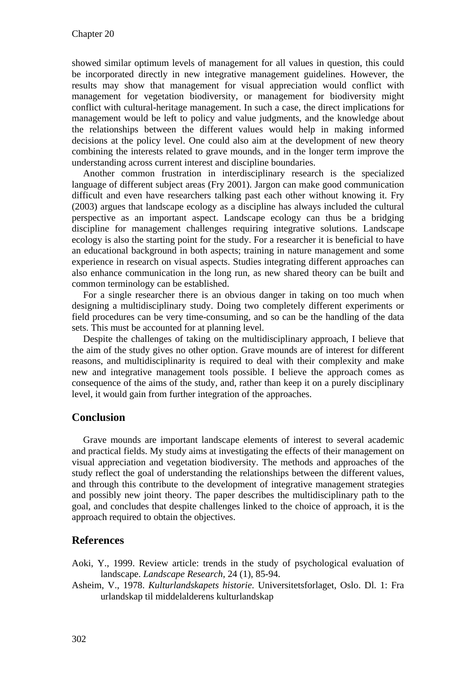showed similar optimum levels of management for all values in question, this could be incorporated directly in new integrative management guidelines. However, the results may show that management for visual appreciation would conflict with management for vegetation biodiversity, or management for biodiversity might conflict with cultural-heritage management. In such a case, the direct implications for management would be left to policy and value judgments, and the knowledge about the relationships between the different values would help in making informed decisions at the policy level. One could also aim at the development of new theory combining the interests related to grave mounds, and in the longer term improve the understanding across current interest and discipline boundaries.

Another common frustration in interdisciplinary research is the specialized language of different subject areas (Fry 2001). Jargon can make good communication difficult and even have researchers talking past each other without knowing it. Fry (2003) argues that landscape ecology as a discipline has always included the cultural perspective as an important aspect. Landscape ecology can thus be a bridging discipline for management challenges requiring integrative solutions. Landscape ecology is also the starting point for the study. For a researcher it is beneficial to have an educational background in both aspects; training in nature management and some experience in research on visual aspects. Studies integrating different approaches can also enhance communication in the long run, as new shared theory can be built and common terminology can be established.

For a single researcher there is an obvious danger in taking on too much when designing a multidisciplinary study. Doing two completely different experiments or field procedures can be very time-consuming, and so can be the handling of the data sets. This must be accounted for at planning level.

Despite the challenges of taking on the multidisciplinary approach, I believe that the aim of the study gives no other option. Grave mounds are of interest for different reasons, and multidisciplinarity is required to deal with their complexity and make new and integrative management tools possible. I believe the approach comes as consequence of the aims of the study, and, rather than keep it on a purely disciplinary level, it would gain from further integration of the approaches.

## **Conclusion**

Grave mounds are important landscape elements of interest to several academic and practical fields. My study aims at investigating the effects of their management on visual appreciation and vegetation biodiversity. The methods and approaches of the study reflect the goal of understanding the relationships between the different values, and through this contribute to the development of integrative management strategies and possibly new joint theory. The paper describes the multidisciplinary path to the goal, and concludes that despite challenges linked to the choice of approach, it is the approach required to obtain the objectives.

## **References**

- Aoki, Y., 1999. Review article: trends in the study of psychological evaluation of landscape. *Landscape Research,* 24 (1), 85-94.
- Asheim, V., 1978. *Kulturlandskapets historie*. Universitetsforlaget, Oslo. Dl. 1: Fra urlandskap til middelalderens kulturlandskap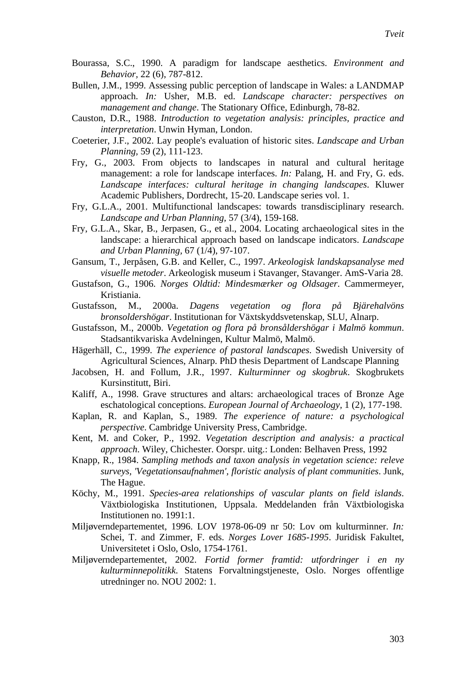- Bourassa, S.C., 1990. A paradigm for landscape aesthetics. *Environment and Behavior,* 22 (6), 787-812.
- Bullen, J.M., 1999. Assessing public perception of landscape in Wales: a LANDMAP approach. *In:* Usher, M.B. ed. *Landscape character: perspectives on management and change*. The Stationary Office, Edinburgh, 78-82.
- Causton, D.R., 1988. *Introduction to vegetation analysis: principles, practice and interpretation*. Unwin Hyman, London.
- Coeterier, J.F., 2002. Lay people's evaluation of historic sites. *Landscape and Urban Planning,* 59 (2), 111-123.
- Fry, G., 2003. From objects to landscapes in natural and cultural heritage management: a role for landscape interfaces. *In:* Palang, H. and Fry, G. eds. *Landscape interfaces: cultural heritage in changing landscapes*. Kluwer Academic Publishers, Dordrecht, 15-20. Landscape series vol. 1.
- Fry, G.L.A., 2001. Multifunctional landscapes: towards transdisciplinary research. *Landscape and Urban Planning,* 57 (3/4), 159-168.
- Fry, G.L.A., Skar, B., Jerpasen, G., et al., 2004. Locating archaeological sites in the landscape: a hierarchical approach based on landscape indicators. *Landscape and Urban Planning,* 67 (1/4), 97-107.
- Gansum, T., Jerpåsen, G.B. and Keller, C., 1997. *Arkeologisk landskapsanalyse med visuelle metoder*. Arkeologisk museum i Stavanger, Stavanger. AmS-Varia 28.
- Gustafson, G., 1906. *Norges Oldtid: Mindesmærker og Oldsager*. Cammermeyer, Kristiania.
- Gustafsson, M., 2000a. *Dagens vegetation og flora på Bjärehalvöns bronsoldershögar*. Institutionan for Växtskyddsvetenskap, SLU, Alnarp.
- Gustafsson, M., 2000b. *Vegetation og flora på bronsåldershögar i Malmö kommun*. Stadsantikvariska Avdelningen, Kultur Malmö, Malmö.
- Hägerhäll, C., 1999. *The experience of pastoral landscapes*. Swedish University of Agricultural Sciences, Alnarp. PhD thesis Department of Landscape Planning
- Jacobsen, H. and Follum, J.R., 1997. *Kulturminner og skogbruk*. Skogbrukets Kursinstitutt, Biri.
- Kaliff, A., 1998. Grave structures and altars: archaeological traces of Bronze Age eschatological conceptions. *European Journal of Archaeology,* 1 (2), 177-198.
- Kaplan, R. and Kaplan, S., 1989. *The experience of nature: a psychological perspective*. Cambridge University Press, Cambridge.
- Kent, M. and Coker, P., 1992. *Vegetation description and analysis: a practical approach*. Wiley, Chichester. Oorspr. uitg.: Londen: Belhaven Press, 1992
- Knapp, R., 1984. *Sampling methods and taxon analysis in vegetation science: releve surveys, 'Vegetationsaufnahmen', floristic analysis of plant communities*. Junk, The Hague.
- Köchy, M., 1991. *Species-area relationships of vascular plants on field islands*. Växtbiologiska Institutionen, Uppsala. Meddelanden från Växtbiologiska Institutionen no. 1991:1.
- Miljøverndepartementet, 1996. LOV 1978-06-09 nr 50: Lov om kulturminner. *In:* Schei, T. and Zimmer, F. eds. *Norges Lover 1685-1995*. Juridisk Fakultet, Universitetet i Oslo, Oslo, 1754-1761.
- Miljøverndepartementet, 2002. *Fortid former framtid: utfordringer i en ny kulturminnepolitikk*. Statens Forvaltningstjeneste, Oslo. Norges offentlige utredninger no. NOU 2002: 1.